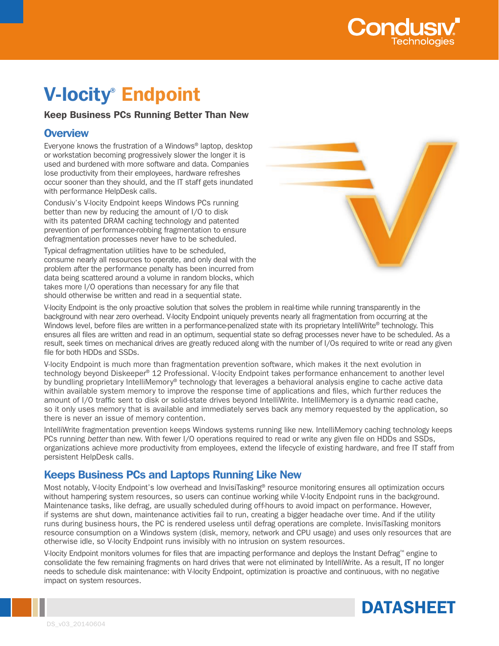

# V-locity® Endpoint

## Keep Business PCs Running Better Than New

## **Overview**

Everyone knows the frustration of a Windows® laptop, desktop or workstation becoming progressively slower the longer it is used and burdened with more software and data. Companies lose productivity from their employees, hardware refreshes occur sooner than they should, and the IT staff gets inundated with performance HelpDesk calls.

Condusiv's V-locity Endpoint keeps Windows PCs running better than new by reducing the amount of I/O to disk with its patented DRAM caching technology and patented prevention of performance-robbing fragmentation to ensure defragmentation processes never have to be scheduled.

Typical defragmentation utilities have to be scheduled, consume nearly all resources to operate, and only deal with the problem after the performance penalty has been incurred from data being scattered around a volume in random blocks, which takes more I/O operations than necessary for any file that should otherwise be written and read in a sequential state.



V-locity Endpoint is the only proactive solution that solves the problem in real-time while running transparently in the background with near zero overhead. V-locity Endpoint uniquely prevents nearly all fragmentation from occurring at the Windows level, before files are written in a performance-penalized state with its proprietary IntelliWrite® technology. This ensures all files are written and read in an optimum, sequential state so defrag processes never have to be scheduled. As a result, seek times on mechanical drives are greatly reduced along with the number of I/Os required to write or read any given file for both HDDs and SSDs.

V-locity Endpoint is much more than fragmentation prevention software, which makes it the next evolution in technology beyond Diskeeper® 12 Professional. V-locity Endpoint takes performance enhancement to another level by bundling proprietary IntelliMemory® technology that leverages a behavioral analysis engine to cache active data within available system memory to improve the response time of applications and files, which further reduces the amount of I/O traffic sent to disk or solid-state drives beyond IntelliWrite. IntelliMemory is a dynamic read cache, so it only uses memory that is available and immediately serves back any memory requested by the application, so there is never an issue of memory contention.

IntelliWrite fragmentation prevention keeps Windows systems running like new. IntelliMemory caching technology keeps PCs running *better* than new. With fewer I/O operations required to read or write any given file on HDDs and SSDs, organizations achieve more productivity from employees, extend the lifecycle of existing hardware, and free IT staff from persistent HelpDesk calls.

## Keeps Business PCs and Laptops Running Like New

Most notably, V-locity Endpoint's low overhead and InvisiTasking® resource monitoring ensures all optimization occurs without hampering system resources, so users can continue working while V-locity Endpoint runs in the background. Maintenance tasks, like defrag, are usually scheduled during off-hours to avoid impact on performance. However, if systems are shut down, maintenance activities fail to run, creating a bigger headache over time. And if the utility runs during business hours, the PC is rendered useless until defrag operations are complete. InvisiTasking monitors resource consumption on a Windows system (disk, memory, network and CPU usage) and uses only resources that are otherwise idle, so V-locity Endpoint runs invisibly with no intrusion on system resources.

V-locity Endpoint monitors volumes for files that are impacting performance and deploys the Instant Defrag™ engine to consolidate the few remaining fragments on hard drives that were not eliminated by IntelliWrite. As a result, IT no longer needs to schedule disk maintenance: with V-locity Endpoint, optimization is proactive and continuous, with no negative impact on system resources.